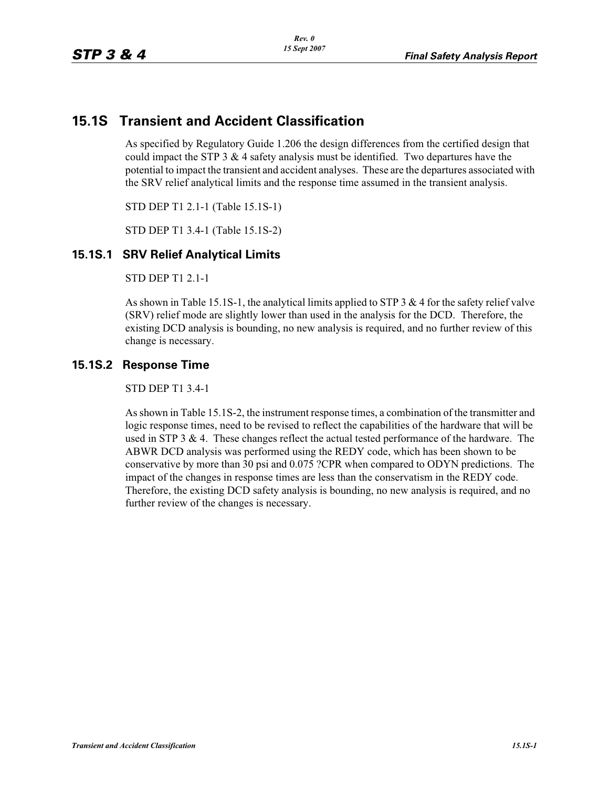## **15.1S Transient and Accident Classification**

As specified by Regulatory Guide 1.206 the design differences from the certified design that could impact the STP  $3 \& 4$  safety analysis must be identified. Two departures have the potential to impact the transient and accident analyses. These are the departures associated with the SRV relief analytical limits and the response time assumed in the transient analysis.

STD DEP T1 2.1-1 (Table 15.1S-1)

STD DEP T1 3.4-1 (Table 15.1S-2)

## **15.1S.1 SRV Relief Analytical Limits**

STD DEP T1 2.1-1

As shown in Table 15.1S-1, the analytical limits applied to STP 3 & 4 for the safety relief valve (SRV) relief mode are slightly lower than used in the analysis for the DCD. Therefore, the existing DCD analysis is bounding, no new analysis is required, and no further review of this change is necessary.

## **15.1S.2 Response Time**

STD DEP T1 3.4-1

As shown in Table 15.1S-2, the instrument response times, a combination of the transmitter and logic response times, need to be revised to reflect the capabilities of the hardware that will be used in STP 3 & 4. These changes reflect the actual tested performance of the hardware. The ABWR DCD analysis was performed using the REDY code, which has been shown to be conservative by more than 30 psi and 0.075 ?CPR when compared to ODYN predictions. The impact of the changes in response times are less than the conservatism in the REDY code. Therefore, the existing DCD safety analysis is bounding, no new analysis is required, and no further review of the changes is necessary.